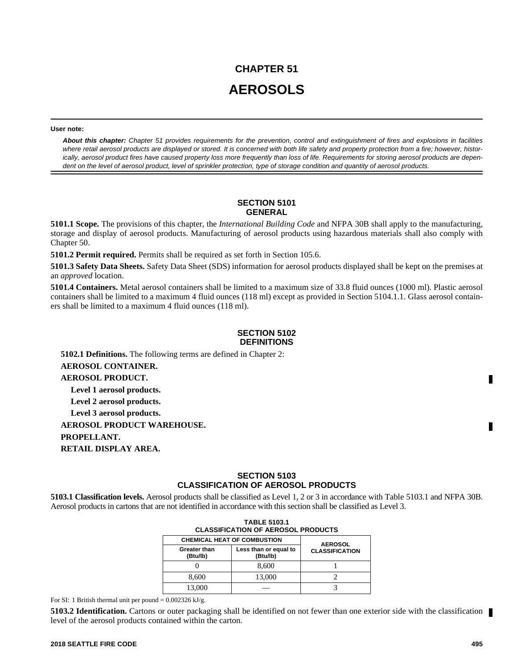# **CHAPTER 51 AEROSOLS**

#### **User note:**

*About this chapter: Chapter 51 provides requirements for the prevention, control and extinguishment of fires and explosions in facilities where retail aerosol products are displayed or stored. It is concerned with both life safety and property protection from a fire; however, historically, aerosol product fires have caused property loss more frequently than loss of life. Requirements for storing aerosol products are dependent on the level of aerosol product, level of sprinkler protection, type of storage condition and quantity of aerosol products.*

# **SECTION 5101 GENERAL**

**5101.1 Scope.** The provisions of this chapter, the *International Building Code* and NFPA 30B shall apply to the manufacturing, storage and display of aerosol products. Manufacturing of aerosol products using hazardous materials shall also comply with Chapter 50.

**5101.2 Permit required.** Permits shall be required as set forth in Section 105.6.

**5101.3 Safety Data Sheets.** Safety Data Sheet (SDS) information for aerosol products displayed shall be kept on the premises at an *approved* location.

**5101.4 Containers.** Metal aerosol containers shall be limited to a maximum size of 33.8 fluid ounces (1000 ml). Plastic aerosol containers shall be limited to a maximum 4 fluid ounces (118 ml) except as provided in Section 5104.1.1. Glass aerosol containers shall be limited to a maximum 4 fluid ounces (118 ml).

# **SECTION 5102 DEFINITIONS**

**5102.1 Definitions.** The following terms are defined in Chapter 2: **AEROSOL CONTAINER. AEROSOL PRODUCT. Level 1 aerosol products. Level 2 aerosol products. Level 3 aerosol products. AEROSOL PRODUCT WAREHOUSE. PROPELLANT. RETAIL DISPLAY AREA.**

# **SECTION 5103 CLASSIFICATION OF AEROSOL PRODUCTS**

**5103.1 Classification levels.** Aerosol products shall be classified as Level 1, 2 or 3 in accordance with Table 5103.1 and NFPA 30B. Aerosol products in cartons that are not identified in accordance with this section shall be classified as Level 3.

| <b>TABLE 5103.1</b><br><b>CLASSIFICATION OF AEROSOL PRODUCTS</b> |                                   |                                         |  |  |
|------------------------------------------------------------------|-----------------------------------|-----------------------------------------|--|--|
| <b>CHEMICAL HEAT OF COMBUSTION</b>                               |                                   |                                         |  |  |
| Greater than<br>(Btu/lb)                                         | Less than or equal to<br>(Btu/lb) | <b>AEROSOL</b><br><b>CLASSIFICATION</b> |  |  |
|                                                                  | 8,600                             |                                         |  |  |
| 8.600                                                            | 13,000                            |                                         |  |  |
| 13.000                                                           |                                   |                                         |  |  |

For SI: 1 British thermal unit per pound =  $0.002326$  kJ/g.

**5103.2 Identification.** Cartons or outer packaging shall be identified on not fewer than one exterior side with the classification level of the aerosol products contained within the carton.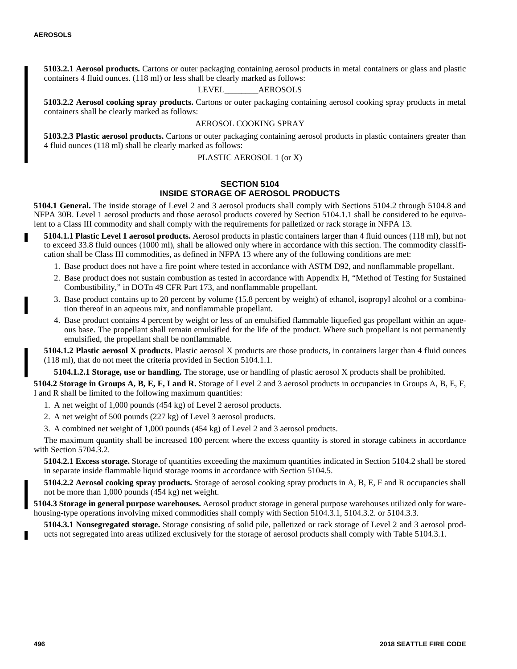**5103.2.1 Aerosol products.** Cartons or outer packaging containing aerosol products in metal containers or glass and plastic containers 4 fluid ounces. (118 ml) or less shall be clearly marked as follows:

# LEVEL\_\_\_\_\_\_\_\_AEROSOLS

**5103.2.2 Aerosol cooking spray products.** Cartons or outer packaging containing aerosol cooking spray products in metal containers shall be clearly marked as follows:

# AEROSOL COOKING SPRAY

**5103.2.3 Plastic aerosol products.** Cartons or outer packaging containing aerosol products in plastic containers greater than 4 fluid ounces (118 ml) shall be clearly marked as follows:

PLASTIC AEROSOL 1 (or X)

# **SECTION 5104 INSIDE STORAGE OF AEROSOL PRODUCTS**

**5104.1 General.** The inside storage of Level 2 and 3 aerosol products shall comply with Sections 5104.2 through 5104.8 and NFPA 30B. Level 1 aerosol products and those aerosol products covered by Section 5104.1.1 shall be considered to be equivalent to a Class III commodity and shall comply with the requirements for palletized or rack storage in NFPA 13.

- **5104.1.1 Plastic Level 1 aerosol products.** Aerosol products in plastic containers larger than 4 fluid ounces (118 ml), but not to exceed 33.8 fluid ounces (1000 ml), shall be allowed only where in accordance with this section. The commodity classification shall be Class III commodities, as defined in NFPA 13 where any of the following conditions are met:
	- 1. Base product does not have a fire point where tested in accordance with ASTM D92, and nonflammable propellant.
	- 2. Base product does not sustain combustion as tested in accordance with Appendix H, "Method of Testing for Sustained Combustibility," in DOTn 49 CFR Part 173, and nonflammable propellant.
	- 3. Base product contains up to 20 percent by volume (15.8 percent by weight) of ethanol, isopropyl alcohol or a combination thereof in an aqueous mix, and nonflammable propellant.
	- 4. Base product contains 4 percent by weight or less of an emulsified flammable liquefied gas propellant within an aqueous base. The propellant shall remain emulsified for the life of the product. Where such propellant is not permanently emulsified, the propellant shall be nonflammable.

**5104.1.2 Plastic aerosol X products.** Plastic aerosol X products are those products, in containers larger than 4 fluid ounces (118 ml), that do not meet the criteria provided in Section 5104.1.1.

**5104.1.2.1 Storage, use or handling.** The storage, use or handling of plastic aerosol X products shall be prohibited.

**5104.2 Storage in Groups A, B, E, F, I and R.** Storage of Level 2 and 3 aerosol products in occupancies in Groups A, B, E, F, I and R shall be limited to the following maximum quantities:

1. A net weight of 1,000 pounds (454 kg) of Level 2 aerosol products.

- 2. A net weight of 500 pounds (227 kg) of Level 3 aerosol products.
- 3. A combined net weight of 1,000 pounds (454 kg) of Level 2 and 3 aerosol products.

The maximum quantity shall be increased 100 percent where the excess quantity is stored in storage cabinets in accordance with Section 5704.3.2.

**5104.2.1 Excess storage.** Storage of quantities exceeding the maximum quantities indicated in Section 5104.2 shall be stored in separate inside flammable liquid storage rooms in accordance with Section 5104.5.

**5104.2.2 Aerosol cooking spray products.** Storage of aerosol cooking spray products in A, B, E, F and R occupancies shall not be more than 1,000 pounds (454 kg) net weight.

**5104.3 Storage in general purpose warehouses.** Aerosol product storage in general purpose warehouses utilized only for warehousing-type operations involving mixed commodities shall comply with Section 5104.3.1, 5104.3.2. or 5104.3.3.

**5104.3.1 Nonsegregated storage.** Storage consisting of solid pile, palletized or rack storage of Level 2 and 3 aerosol products not segregated into areas utilized exclusively for the storage of aerosol products shall comply with Table 5104.3.1.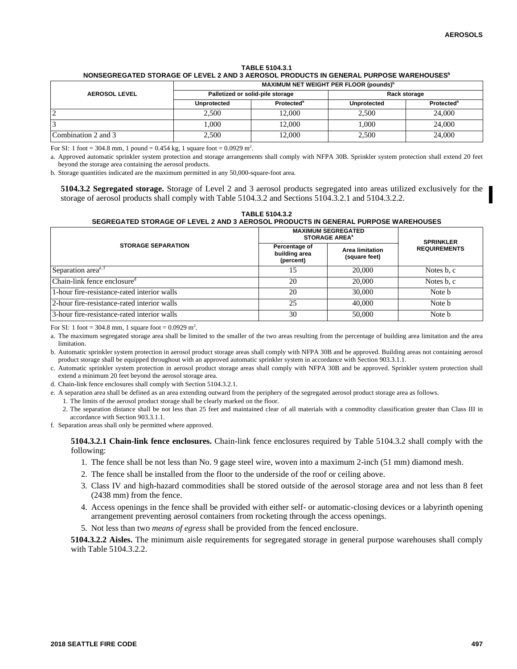## **TABLE 5104.3.1 NONSEGREGATED STORAGE OF LEVEL 2 AND 3 AEROSOL PRODUCTS IN GENERAL PURPOSE WAREHOUSES<sup>b</sup>**

|                      | MAXIMUM NET WEIGHT PER FLOOR (pounds) <sup>b</sup> |                              |                    |                        |
|----------------------|----------------------------------------------------|------------------------------|--------------------|------------------------|
| <b>AEROSOL LEVEL</b> | Palletized or solid-pile storage                   |                              | Rack storage       |                        |
|                      | <b>Unprotected</b>                                 | <b>Protected<sup>a</sup></b> | <b>Unprotected</b> | Protected <sup>a</sup> |
|                      | 2,500                                              | 12.000                       | 2.500              | 24,000                 |
|                      | 000.1                                              | 12.000                       | 1.000              | 24,000                 |
| Combination 2 and 3  | 2,500                                              | 12.000                       | 2,500              | 24,000                 |

For SI: 1 foot = 304.8 mm, 1 pound = 0.454 kg, 1 square foot = 0.0929 m<sup>2</sup>.

a. Approved automatic sprinkler system protection and storage arrangements shall comply with NFPA 30B. Sprinkler system protection shall extend 20 feet beyond the storage area containing the aerosol products.

b. Storage quantities indicated are the maximum permitted in any 50,000-square-foot area.

**5104.3.2 Segregated storage.** Storage of Level 2 and 3 aerosol products segregated into areas utilized exclusively for the storage of aerosol products shall comply with Table 5104.3.2 and Sections 5104.3.2.1 and 5104.3.2.2.

**TABLE 5104.3.2 SEGREGATED STORAGE OF LEVEL 2 AND 3 AEROSOL PRODUCTS IN GENERAL PURPOSE WAREHOUSES**

|                                                         | <b>MAXIMUM SEGREGATED</b><br><b>STORAGE AREA<sup>a</sup></b> | <b>SPRINKLER</b>                        |                     |
|---------------------------------------------------------|--------------------------------------------------------------|-----------------------------------------|---------------------|
| <b>STORAGE SEPARATION</b>                               | Percentage of<br>building area<br>(percent)                  | <b>Area limitation</b><br>(square feet) | <b>REQUIREMENTS</b> |
| Separation area <sup>e, f</sup>                         | 15                                                           | 20,000                                  | Notes b, c          |
| $ {\rm Chain\text{-}link}$ fence enclosure <sup>d</sup> | 20                                                           | 20,000                                  | Notes b, c          |
| 1-hour fire-resistance-rated interior walls             | 20                                                           | 30,000                                  | Note b              |
| 2-hour fire-resistance-rated interior walls             | 25                                                           | 40,000                                  | Note b              |
| 3-hour fire-resistance-rated interior walls             | 30                                                           | 50,000                                  | Note b              |

For SI: 1 foot = 304.8 mm, 1 square foot =  $0.0929 \text{ m}^2$ .

a. The maximum segregated storage area shall be limited to the smaller of the two areas resulting from the percentage of building area limitation and the area limitation.

b. Automatic sprinkler system protection in aerosol product storage areas shall comply with NFPA 30B and be approved. Building areas not containing aerosol product storage shall be equipped throughout with an approved automatic sprinkler system in accordance with Section 903.3.1.1.

c. Automatic sprinkler system protection in aerosol product storage areas shall comply with NFPA 30B and be approved. Sprinkler system protection shall extend a minimum 20 feet beyond the aerosol storage area.

d. Chain-link fence enclosures shall comply with Section 5104.3.2.1.

e. A separation area shall be defined as an area extending outward from the periphery of the segregated aerosol product storage area as follows.

1. The limits of the aerosol product storage shall be clearly marked on the floor.

2. The separation distance shall be not less than 25 feet and maintained clear of all materials with a commodity classification greater than Class III in accordance with Section 903.3.1.1.

f. Separation areas shall only be permitted where approved.

**5104.3.2.1 Chain-link fence enclosures.** Chain-link fence enclosures required by Table 5104.3.2 shall comply with the following:

- 1. The fence shall be not less than No. 9 gage steel wire, woven into a maximum 2-inch (51 mm) diamond mesh.
- 2. The fence shall be installed from the floor to the underside of the roof or ceiling above.
- 3. Class IV and high-hazard commodities shall be stored outside of the aerosol storage area and not less than 8 feet (2438 mm) from the fence.
- 4. Access openings in the fence shall be provided with either self- or automatic-closing devices or a labyrinth opening arrangement preventing aerosol containers from rocketing through the access openings.
- 5. Not less than two *means of egress* shall be provided from the fenced enclosure.

**5104.3.2.2 Aisles.** The minimum aisle requirements for segregated storage in general purpose warehouses shall comply with Table 5104.3.2.2.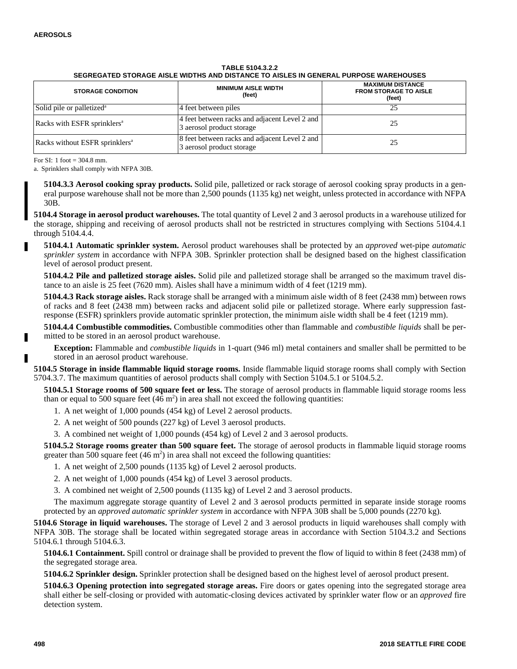| <b>STORAGE CONDITION</b>                   | <b>MINIMUM AISLE WIDTH</b><br>(feet)                                       | <b>MAXIMUM DISTANCE</b><br><b>FROM STORAGE TO AISLE</b><br>(feet) |
|--------------------------------------------|----------------------------------------------------------------------------|-------------------------------------------------------------------|
| Solid pile or palletized <sup>a</sup>      | 4 feet between piles                                                       | 25                                                                |
| Racks with ESFR sprinklers <sup>a</sup>    | 4 feet between racks and adjacent Level 2 and<br>3 aerosol product storage | 25                                                                |
| Racks without ESFR sprinklers <sup>a</sup> | 8 feet between racks and adjacent Level 2 and<br>3 aerosol product storage | 25                                                                |

**TABLE 5104.3.2.2 SEGREGATED STORAGE AISLE WIDTHS AND DISTANCE TO AISLES IN GENERAL PURPOSE WAREHOUSES**

For SI: 1 foot = 304.8 mm.

a. Sprinklers shall comply with NFPA 30B.

**5104.3.3 Aerosol cooking spray products.** Solid pile, palletized or rack storage of aerosol cooking spray products in a general purpose warehouse shall not be more than 2,500 pounds (1135 kg) net weight, unless protected in accordance with NFPA 30B.

**5104.4 Storage in aerosol product warehouses.** The total quantity of Level 2 and 3 aerosol products in a warehouse utilized for the storage, shipping and receiving of aerosol products shall not be restricted in structures complying with Sections 5104.4.1 through 5104.4.4.

**5104.4.1 Automatic sprinkler system.** Aerosol product warehouses shall be protected by an *approved* wet-pipe *automatic sprinkler system* in accordance with NFPA 30B. Sprinkler protection shall be designed based on the highest classification level of aerosol product present.

**5104.4.2 Pile and palletized storage aisles.** Solid pile and palletized storage shall be arranged so the maximum travel distance to an aisle is 25 feet (7620 mm). Aisles shall have a minimum width of 4 feet (1219 mm).

**5104.4.3 Rack storage aisles.** Rack storage shall be arranged with a minimum aisle width of 8 feet (2438 mm) between rows of racks and 8 feet (2438 mm) between racks and adjacent solid pile or palletized storage. Where early suppression fastresponse (ESFR) sprinklers provide automatic sprinkler protection, the minimum aisle width shall be 4 feet (1219 mm).

**5104.4.4 Combustible commodities.** Combustible commodities other than flammable and *combustible liquids* shall be permitted to be stored in an aerosol product warehouse.

**Exception:** Flammable and *combustible liquids* in 1-quart (946 ml) metal containers and smaller shall be permitted to be stored in an aerosol product warehouse.

**5104.5 Storage in inside flammable liquid storage rooms.** Inside flammable liquid storage rooms shall comply with Section 5704.3.7. The maximum quantities of aerosol products shall comply with Section 5104.5.1 or 5104.5.2.

**5104.5.1 Storage rooms of 500 square feet or less.** The storage of aerosol products in flammable liquid storage rooms less than or equal to 500 square feet  $(46 \text{ m}^2)$  in area shall not exceed the following quantities:

- 1. A net weight of 1,000 pounds (454 kg) of Level 2 aerosol products.
- 2. A net weight of 500 pounds (227 kg) of Level 3 aerosol products.
- 3. A combined net weight of 1,000 pounds (454 kg) of Level 2 and 3 aerosol products.

**5104.5.2 Storage rooms greater than 500 square feet.** The storage of aerosol products in flammable liquid storage rooms greater than 500 square feet  $(46 \text{ m}^2)$  in area shall not exceed the following quantities:

1. A net weight of 2,500 pounds (1135 kg) of Level 2 aerosol products.

- 2. A net weight of 1,000 pounds (454 kg) of Level 3 aerosol products.
- 3. A combined net weight of 2,500 pounds (1135 kg) of Level 2 and 3 aerosol products.

The maximum aggregate storage quantity of Level 2 and 3 aerosol products permitted in separate inside storage rooms protected by an *approved automatic sprinkler system* in accordance with NFPA 30B shall be 5,000 pounds (2270 kg).

**5104.6 Storage in liquid warehouses.** The storage of Level 2 and 3 aerosol products in liquid warehouses shall comply with NFPA 30B. The storage shall be located within segregated storage areas in accordance with Section 5104.3.2 and Sections 5104.6.1 through 5104.6.3.

**5104.6.1 Containment.** Spill control or drainage shall be provided to prevent the flow of liquid to within 8 feet (2438 mm) of the segregated storage area.

**5104.6.2 Sprinkler design.** Sprinkler protection shall be designed based on the highest level of aerosol product present.

**5104.6.3 Opening protection into segregated storage areas.** Fire doors or gates opening into the segregated storage area shall either be self-closing or provided with automatic-closing devices activated by sprinkler water flow or an *approved* fire detection system.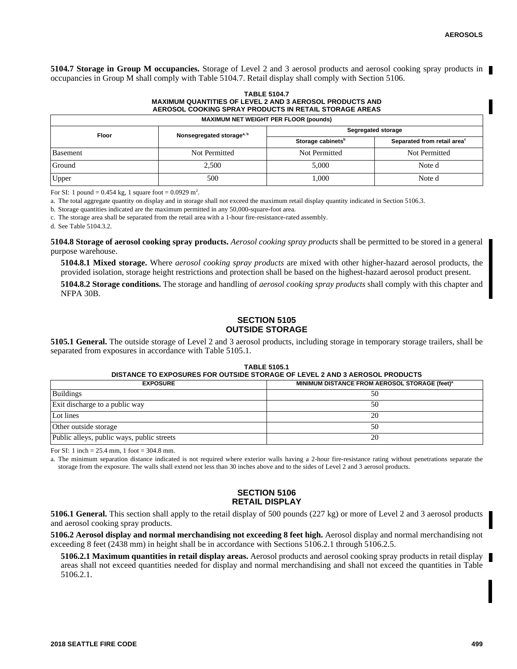**5104.7 Storage in Group M occupancies.** Storage of Level 2 and 3 aerosol products and aerosol cooking spray products in occupancies in Group M shall comply with Table 5104.7. Retail display shall comply with Section 5106.

#### **TABLE 5104.7 MAXIMUM QUANTITIES OF LEVEL 2 AND 3 AEROSOL PRODUCTS AND AEROSOL COOKING SPRAY PRODUCTS IN RETAIL STORAGE AREAS**

| <b>MAXIMUM NET WEIGHT PER FLOOR (pounds)</b> |                                       |                               |                                         |  |
|----------------------------------------------|---------------------------------------|-------------------------------|-----------------------------------------|--|
| Floor                                        | Nonsegregated storage <sup>a, b</sup> | Segregated storage            |                                         |  |
|                                              |                                       | Storage cabinets <sup>b</sup> | Separated from retail area <sup>c</sup> |  |
| Basement                                     | Not Permitted                         | Not Permitted                 | Not Permitted                           |  |
| Ground<br>2,500                              |                                       | 5.000                         | Note d                                  |  |
| Upper<br>500                                 |                                       | 000.1                         | Note d                                  |  |

For SI: 1 pound =  $0.454$  kg, 1 square foot =  $0.0929$  m<sup>2</sup>.

a. The total aggregate quantity on display and in storage shall not exceed the maximum retail display quantity indicated in Section 5106.3.

b. Storage quantities indicated are the maximum permitted in any 50,000-square-foot area.

c. The storage area shall be separated from the retail area with a 1-hour fire-resistance-rated assembly.

d. See Table 5104.3.2.

**5104.8 Storage of aerosol cooking spray products.** *Aerosol cooking spray products* shall be permitted to be stored in a general purpose warehouse.

**5104.8.1 Mixed storage.** Where *aerosol cooking spray products* are mixed with other higher-hazard aerosol products, the provided isolation, storage height restrictions and protection shall be based on the highest-hazard aerosol product present.

**5104.8.2 Storage conditions.** The storage and handling of *aerosol cooking spray products* shall comply with this chapter and NFPA 30B.

# **SECTION 5105 OUTSIDE STORAGE**

**5105.1 General.** The outside storage of Level 2 and 3 aerosol products, including storage in temporary storage trailers, shall be separated from exposures in accordance with Table 5105.1.

### **TABLE 5105.1 DISTANCE TO EXPOSURES FOR OUTSIDE STORAGE OF LEVEL 2 AND 3 AEROSOL PRODUCTS**

| <b>EXPOSURE</b>                            | MINIMUM DISTANCE FROM AEROSOL STORAGE (feet) <sup>a</sup> |
|--------------------------------------------|-----------------------------------------------------------|
| <b>Buildings</b>                           | 50                                                        |
| Exit discharge to a public way             | 50                                                        |
| Lot lines                                  | 20                                                        |
| Other outside storage                      | 50                                                        |
| Public alleys, public ways, public streets | 20                                                        |

For SI: 1 inch = 25.4 mm, 1 foot = 304.8 mm.

a. The minimum separation distance indicated is not required where exterior walls having a 2-hour fire-resistance rating without penetrations separate the storage from the exposure. The walls shall extend not less than 30 inches above and to the sides of Level 2 and 3 aerosol products.

# **SECTION 5106 RETAIL DISPLAY**

**5106.1 General.** This section shall apply to the retail display of 500 pounds (227 kg) or more of Level 2 and 3 aerosol products and aerosol cooking spray products.

**5106.2 Aerosol display and normal merchandising not exceeding 8 feet high.** Aerosol display and normal merchandising not exceeding 8 feet (2438 mm) in height shall be in accordance with Sections 5106.2.1 through 5106.2.5.

**5106.2.1 Maximum quantities in retail display areas.** Aerosol products and aerosol cooking spray products in retail display areas shall not exceed quantities needed for display and normal merchandising and shall not exceed the quantities in Table 5106.2.1.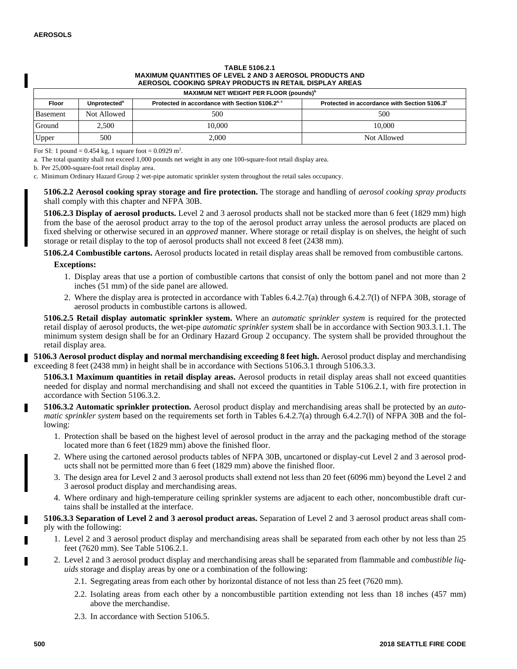# **TABLE 5106.2.1 MAXIMUM QUANTITIES OF LEVEL 2 AND 3 AEROSOL PRODUCTS AND AEROSOL COOKING SPRAY PRODUCTS IN RETAIL DISPLAY AREAS**

| MAXIMUM NET WEIGHT PER FLOOR (pounds) <sup>b</sup> |  |
|----------------------------------------------------|--|
|----------------------------------------------------|--|

| Floor    | Unprotected <sup>a</sup> | Protected in accordance with Section 5106.2 <sup>a, c</sup> | Protected in accordance with Section 5106.3° |
|----------|--------------------------|-------------------------------------------------------------|----------------------------------------------|
| Basement | Not Allowed              | 500                                                         | 500                                          |
| Ground   | 2,500                    | 10.000                                                      | 10.000                                       |
| Upper    | 500                      | 2,000                                                       | Not Allowed                                  |

For SI: 1 pound =  $0.454$  kg, 1 square foot =  $0.0929$  m<sup>2</sup>.

a. The total quantity shall not exceed 1,000 pounds net weight in any one 100-square-foot retail display area.

b. Per 25,000-square-foot retail display area.

c. Minimum Ordinary Hazard Group 2 wet-pipe automatic sprinkler system throughout the retail sales occupancy.

**5106.2.2 Aerosol cooking spray storage and fire protection.** The storage and handling of *aerosol cooking spray products* shall comply with this chapter and NFPA 30B.

**5106.2.3 Display of aerosol products.** Level 2 and 3 aerosol products shall not be stacked more than 6 feet (1829 mm) high from the base of the aerosol product array to the top of the aerosol product array unless the aerosol products are placed on fixed shelving or otherwise secured in an *approved* manner. Where storage or retail display is on shelves, the height of such storage or retail display to the top of aerosol products shall not exceed 8 feet (2438 mm).

**5106.2.4 Combustible cartons.** Aerosol products located in retail display areas shall be removed from combustible cartons. **Exceptions:**

- 1. Display areas that use a portion of combustible cartons that consist of only the bottom panel and not more than 2 inches (51 mm) of the side panel are allowed.
- 2. Where the display area is protected in accordance with Tables 6.4.2.7(a) through 6.4.2.7(l) of NFPA 30B, storage of aerosol products in combustible cartons is allowed.

**5106.2.5 Retail display automatic sprinkler system.** Where an *automatic sprinkler system* is required for the protected retail display of aerosol products, the wet-pipe *automatic sprinkler system* shall be in accordance with Section 903.3.1.1. The minimum system design shall be for an Ordinary Hazard Group 2 occupancy. The system shall be provided throughout the retail display area.

**5106.3 Aerosol product display and normal merchandising exceeding 8 feet high.** Aerosol product display and merchandising exceeding 8 feet (2438 mm) in height shall be in accordance with Sections 5106.3.1 through 5106.3.3.

**5106.3.1 Maximum quantities in retail display areas.** Aerosol products in retail display areas shall not exceed quantities needed for display and normal merchandising and shall not exceed the quantities in Table 5106.2.1, with fire protection in accordance with Section 5106.3.2.

**5106.3.2 Automatic sprinkler protection.** Aerosol product display and merchandising areas shall be protected by an *automatic sprinkler system* based on the requirements set forth in Tables 6.4.2.7(a) through 6.4.2.7(l) of NFPA 30B and the following:

- 1. Protection shall be based on the highest level of aerosol product in the array and the packaging method of the storage located more than 6 feet (1829 mm) above the finished floor.
- 2. Where using the cartoned aerosol products tables of NFPA 30B, uncartoned or display-cut Level 2 and 3 aerosol products shall not be permitted more than 6 feet (1829 mm) above the finished floor.
- 3. The design area for Level 2 and 3 aerosol products shall extend not less than 20 feet (6096 mm) beyond the Level 2 and 3 aerosol product display and merchandising areas.
- 4. Where ordinary and high-temperature ceiling sprinkler systems are adjacent to each other, noncombustible draft curtains shall be installed at the interface.

**5106.3.3 Separation of Level 2 and 3 aerosol product areas.** Separation of Level 2 and 3 aerosol product areas shall comply with the following:

- 1. Level 2 and 3 aerosol product display and merchandising areas shall be separated from each other by not less than 25 feet (7620 mm). See Table 5106.2.1.
- 2. Level 2 and 3 aerosol product display and merchandising areas shall be separated from flammable and *combustible liquids* storage and display areas by one or a combination of the following:
	- 2.1. Segregating areas from each other by horizontal distance of not less than 25 feet (7620 mm).
	- 2.2. Isolating areas from each other by a noncombustible partition extending not less than 18 inches (457 mm) above the merchandise.
	- 2.3. In accordance with Section 5106.5.

г